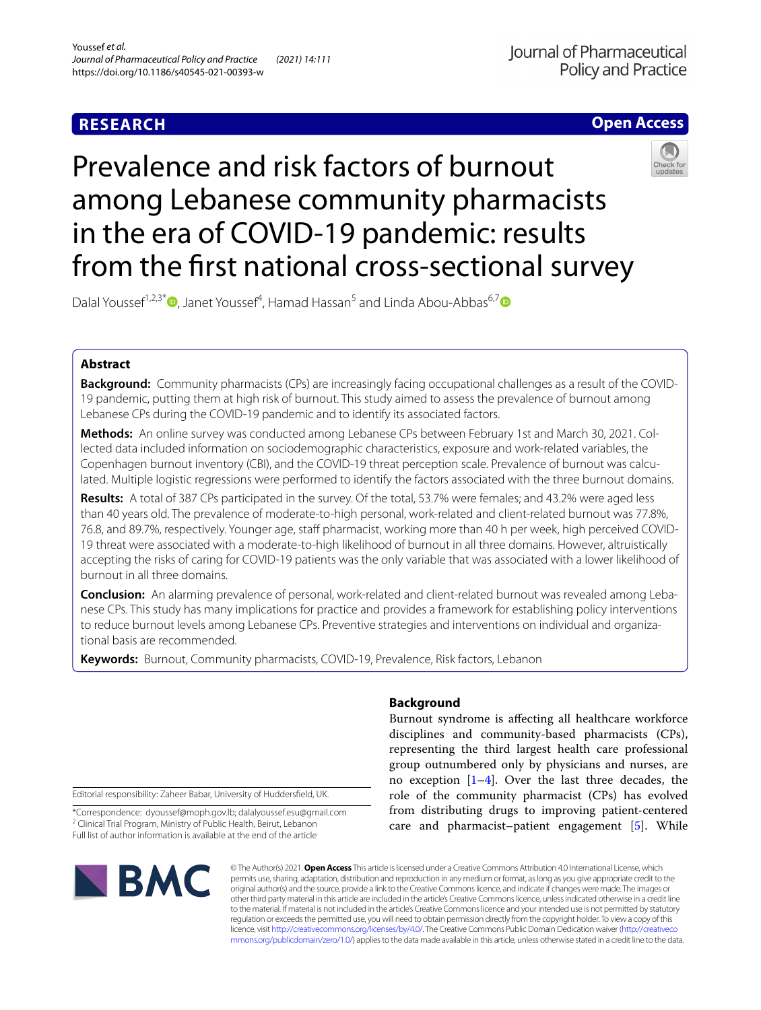# **RESEARCH**

# **Open Access**

# Prevalence and risk factors of burnout among Lebanese community pharmacists in the era of COVID-19 pandemic: results from the frst national cross-sectional survey



Dalal Youssef<sup>1,2,3\*</sup><sup>D</sup>[,](http://orcid.org/0000-0003-3085-6849) Janet Youssef<sup>4</sup>, Hamad Hassan<sup>5</sup> and Linda Abou-Abbas<sup>6,[7](http://orcid.org/0000-0001-9185-3831)</sup>

# **Abstract**

**Background:** Community pharmacists (CPs) are increasingly facing occupational challenges as a result of the COVID-19 pandemic, putting them at high risk of burnout. This study aimed to assess the prevalence of burnout among Lebanese CPs during the COVID-19 pandemic and to identify its associated factors.

Methods: An online survey was conducted among Lebanese CPs between February 1st and March 30, 2021. Collected data included information on sociodemographic characteristics, exposure and work-related variables, the Copenhagen burnout inventory (CBI), and the COVID-19 threat perception scale. Prevalence of burnout was calculated. Multiple logistic regressions were performed to identify the factors associated with the three burnout domains.

**Results:** A total of 387 CPs participated in the survey. Of the total, 53.7% were females; and 43.2% were aged less than 40 years old. The prevalence of moderate-to-high personal, work-related and client-related burnout was 77.8%, 76.8, and 89.7%, respectively. Younger age, staf pharmacist, working more than 40 h per week, high perceived COVID-19 threat were associated with a moderate-to-high likelihood of burnout in all three domains. However, altruistically accepting the risks of caring for COVID-19 patients was the only variable that was associated with a lower likelihood of burnout in all three domains.

**Conclusion:** An alarming prevalence of personal, work-related and client-related burnout was revealed among Lebanese CPs. This study has many implications for practice and provides a framework for establishing policy interventions to reduce burnout levels among Lebanese CPs. Preventive strategies and interventions on individual and organizational basis are recommended.

**Keywords:** Burnout, Community pharmacists, COVID-19, Prevalence, Risk factors, Lebanon

Editorial responsibility: Zaheer Babar, University of Huddersfeld, UK.

\*Correspondence: dyoussef@moph.gov.lb; dalalyoussef.esu@gmail.com <sup>2</sup> Clinical Trial Program, Ministry of Public Health, Beirut, Lebanon Full list of author information is available at the end of the article

# **BMC**

# **Background**

Burnout syndrome is afecting all healthcare workforce disciplines and community-based pharmacists (CPs), representing the third largest health care professional group outnumbered only by physicians and nurses, are no exception  $[1-4]$  $[1-4]$  $[1-4]$ . Over the last three decades, the role of the community pharmacist (CPs) has evolved from distributing drugs to improving patient-centered care and pharmacist–patient engagement [[5\]](#page-10-2). While

© The Author(s) 2021. **Open Access** This article is licensed under a Creative Commons Attribution 4.0 International License, which permits use, sharing, adaptation, distribution and reproduction in any medium or format, as long as you give appropriate credit to the original author(s) and the source, provide a link to the Creative Commons licence, and indicate if changes were made. The images or other third party material in this article are included in the article's Creative Commons licence, unless indicated otherwise in a credit line to the material. If material is not included in the article's Creative Commons licence and your intended use is not permitted by statutory regulation or exceeds the permitted use, you will need to obtain permission directly from the copyright holder. To view a copy of this licence, visit [http://creativecommons.org/licenses/by/4.0/.](http://creativecommons.org/licenses/by/4.0/) The Creative Commons Public Domain Dedication waiver ([http://creativeco](http://creativecommons.org/publicdomain/zero/1.0/) [mmons.org/publicdomain/zero/1.0/](http://creativecommons.org/publicdomain/zero/1.0/)) applies to the data made available in this article, unless otherwise stated in a credit line to the data.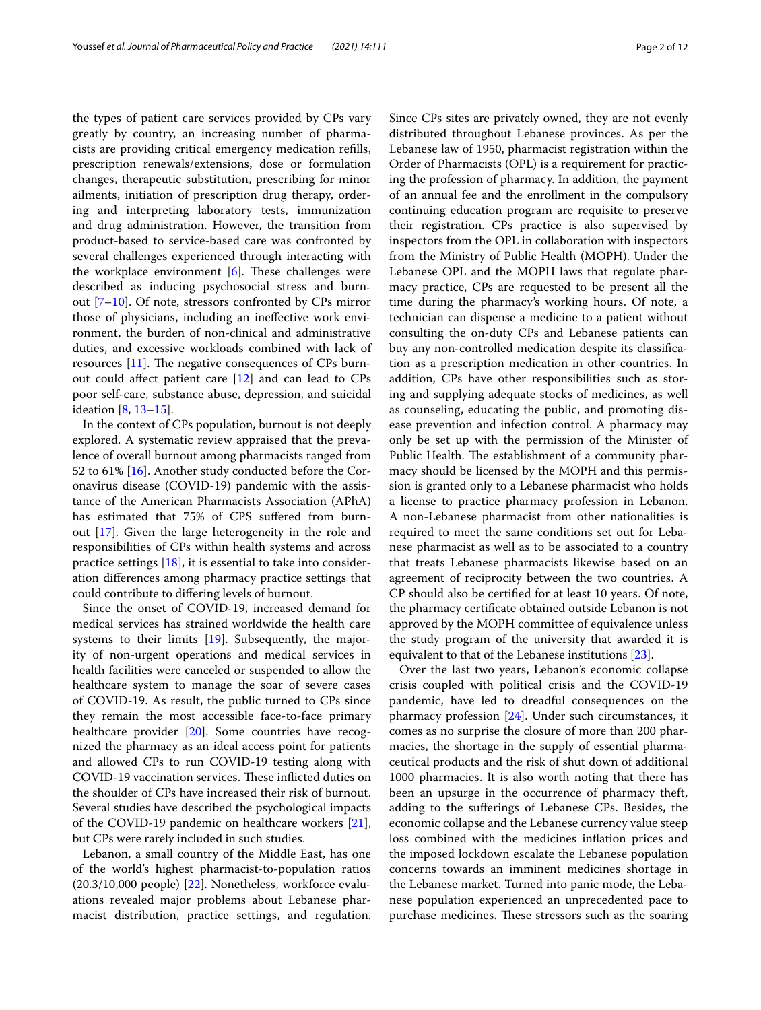the types of patient care services provided by CPs vary greatly by country, an increasing number of pharmacists are providing critical emergency medication reflls, prescription renewals/extensions, dose or formulation changes, therapeutic substitution, prescribing for minor ailments, initiation of prescription drug therapy, ordering and interpreting laboratory tests, immunization and drug administration. However, the transition from product-based to service-based care was confronted by several challenges experienced through interacting with the workplace environment  $[6]$ . These challenges were described as inducing psychosocial stress and burnout  $[7-10]$  $[7-10]$ . Of note, stressors confronted by CPs mirror those of physicians, including an inefective work environment, the burden of non-clinical and administrative duties, and excessive workloads combined with lack of resources  $[11]$ . The negative consequences of CPs burnout could afect patient care [[12](#page-11-1)] and can lead to CPs poor self-care, substance abuse, depression, and suicidal ideation [\[8](#page-10-6), [13–](#page-11-2)[15\]](#page-11-3).

In the context of CPs population, burnout is not deeply explored. A systematic review appraised that the prevalence of overall burnout among pharmacists ranged from 52 to 61% [\[16](#page-11-4)]. Another study conducted before the Coronavirus disease (COVID-19) pandemic with the assistance of the American Pharmacists Association (APhA) has estimated that 75% of CPS sufered from burnout [[17](#page-11-5)]. Given the large heterogeneity in the role and responsibilities of CPs within health systems and across practice settings [\[18](#page-11-6)], it is essential to take into consideration diferences among pharmacy practice settings that could contribute to difering levels of burnout.

Since the onset of COVID-19, increased demand for medical services has strained worldwide the health care systems to their limits [\[19](#page-11-7)]. Subsequently, the majority of non-urgent operations and medical services in health facilities were canceled or suspended to allow the healthcare system to manage the soar of severe cases of COVID-19. As result, the public turned to CPs since they remain the most accessible face-to-face primary healthcare provider [\[20\]](#page-11-8). Some countries have recognized the pharmacy as an ideal access point for patients and allowed CPs to run COVID-19 testing along with COVID-19 vaccination services. These inflicted duties on the shoulder of CPs have increased their risk of burnout. Several studies have described the psychological impacts of the COVID-19 pandemic on healthcare workers [\[21](#page-11-9)], but CPs were rarely included in such studies.

Lebanon, a small country of the Middle East, has one of the world's highest pharmacist-to-population ratios (20.3/10,000 people) [\[22\]](#page-11-10). Nonetheless, workforce evaluations revealed major problems about Lebanese pharmacist distribution, practice settings, and regulation. Since CPs sites are privately owned, they are not evenly distributed throughout Lebanese provinces. As per the Lebanese law of 1950, pharmacist registration within the Order of Pharmacists (OPL) is a requirement for practicing the profession of pharmacy. In addition, the payment of an annual fee and the enrollment in the compulsory continuing education program are requisite to preserve their registration. CPs practice is also supervised by inspectors from the OPL in collaboration with inspectors from the Ministry of Public Health (MOPH). Under the Lebanese OPL and the MOPH laws that regulate pharmacy practice, CPs are requested to be present all the time during the pharmacy's working hours. Of note, a technician can dispense a medicine to a patient without consulting the on-duty CPs and Lebanese patients can buy any non-controlled medication despite its classifcation as a prescription medication in other countries. In addition, CPs have other responsibilities such as storing and supplying adequate stocks of medicines, as well as counseling, educating the public, and promoting disease prevention and infection control. A pharmacy may only be set up with the permission of the Minister of Public Health. The establishment of a community pharmacy should be licensed by the MOPH and this permission is granted only to a Lebanese pharmacist who holds a license to practice pharmacy profession in Lebanon. A non-Lebanese pharmacist from other nationalities is required to meet the same conditions set out for Lebanese pharmacist as well as to be associated to a country that treats Lebanese pharmacists likewise based on an agreement of reciprocity between the two countries. A CP should also be certifed for at least 10 years. Of note, the pharmacy certifcate obtained outside Lebanon is not approved by the MOPH committee of equivalence unless the study program of the university that awarded it is equivalent to that of the Lebanese institutions [[23\]](#page-11-11).

Over the last two years, Lebanon's economic collapse crisis coupled with political crisis and the COVID-19 pandemic, have led to dreadful consequences on the pharmacy profession [[24\]](#page-11-12). Under such circumstances, it comes as no surprise the closure of more than 200 pharmacies, the shortage in the supply of essential pharmaceutical products and the risk of shut down of additional 1000 pharmacies. It is also worth noting that there has been an upsurge in the occurrence of pharmacy theft, adding to the suferings of Lebanese CPs. Besides, the economic collapse and the Lebanese currency value steep loss combined with the medicines infation prices and the imposed lockdown escalate the Lebanese population concerns towards an imminent medicines shortage in the Lebanese market. Turned into panic mode, the Lebanese population experienced an unprecedented pace to purchase medicines. These stressors such as the soaring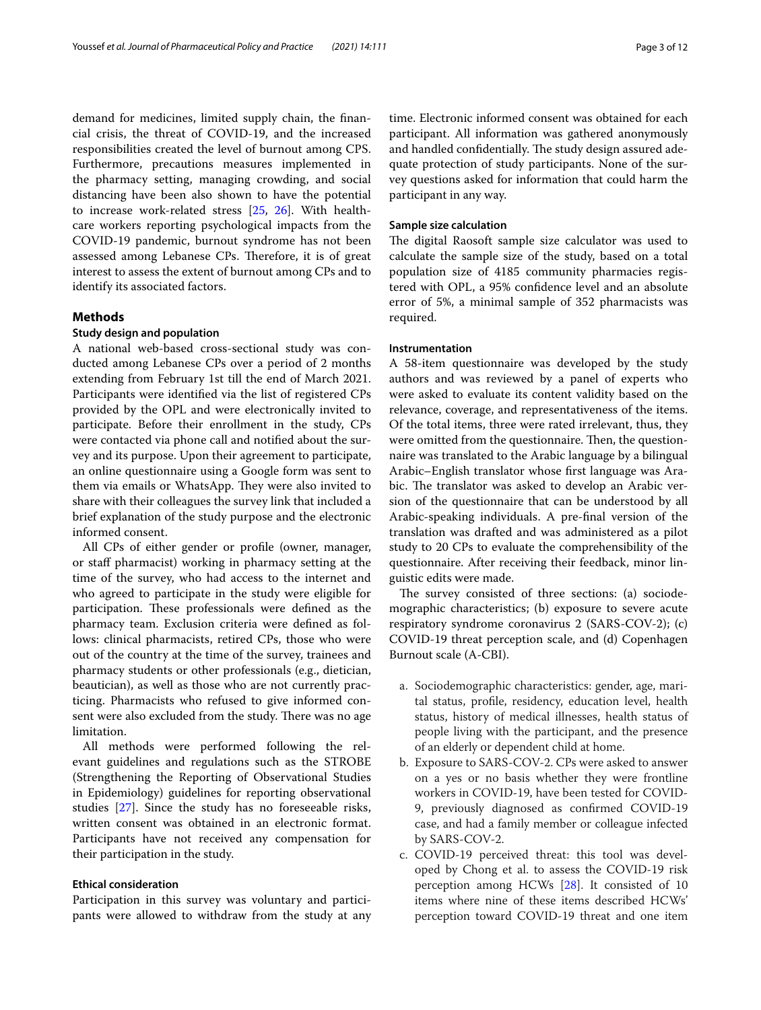demand for medicines, limited supply chain, the fnancial crisis, the threat of COVID-19, and the increased responsibilities created the level of burnout among CPS. Furthermore, precautions measures implemented in the pharmacy setting, managing crowding, and social distancing have been also shown to have the potential to increase work-related stress [[25,](#page-11-13) [26\]](#page-11-14). With healthcare workers reporting psychological impacts from the COVID-19 pandemic, burnout syndrome has not been assessed among Lebanese CPs. Therefore, it is of great interest to assess the extent of burnout among CPs and to identify its associated factors.

#### **Methods**

#### **Study design and population**

A national web-based cross-sectional study was conducted among Lebanese CPs over a period of 2 months extending from February 1st till the end of March 2021. Participants were identifed via the list of registered CPs provided by the OPL and were electronically invited to participate. Before their enrollment in the study, CPs were contacted via phone call and notifed about the survey and its purpose. Upon their agreement to participate, an online questionnaire using a Google form was sent to them via emails or WhatsApp. They were also invited to share with their colleagues the survey link that included a brief explanation of the study purpose and the electronic informed consent.

All CPs of either gender or profle (owner, manager, or staff pharmacist) working in pharmacy setting at the time of the survey, who had access to the internet and who agreed to participate in the study were eligible for participation. These professionals were defined as the pharmacy team. Exclusion criteria were defned as follows: clinical pharmacists, retired CPs, those who were out of the country at the time of the survey, trainees and pharmacy students or other professionals (e.g., dietician, beautician), as well as those who are not currently practicing. Pharmacists who refused to give informed consent were also excluded from the study. There was no age limitation.

All methods were performed following the relevant guidelines and regulations such as the STROBE (Strengthening the Reporting of Observational Studies in Epidemiology) guidelines for reporting observational studies [\[27](#page-11-15)]. Since the study has no foreseeable risks, written consent was obtained in an electronic format. Participants have not received any compensation for their participation in the study.

#### **Ethical consideration**

Participation in this survey was voluntary and participants were allowed to withdraw from the study at any

time. Electronic informed consent was obtained for each participant. All information was gathered anonymously and handled confidentially. The study design assured adequate protection of study participants. None of the survey questions asked for information that could harm the participant in any way.

#### **Sample size calculation**

The digital Raosoft sample size calculator was used to calculate the sample size of the study, based on a total population size of 4185 community pharmacies registered with OPL, a 95% confdence level and an absolute error of 5%, a minimal sample of 352 pharmacists was required.

#### **Instrumentation**

A 58-item questionnaire was developed by the study authors and was reviewed by a panel of experts who were asked to evaluate its content validity based on the relevance, coverage, and representativeness of the items. Of the total items, three were rated irrelevant, thus, they were omitted from the questionnaire. Then, the questionnaire was translated to the Arabic language by a bilingual Arabic–English translator whose frst language was Arabic. The translator was asked to develop an Arabic version of the questionnaire that can be understood by all Arabic-speaking individuals. A pre-fnal version of the translation was drafted and was administered as a pilot study to 20 CPs to evaluate the comprehensibility of the questionnaire. After receiving their feedback, minor linguistic edits were made.

The survey consisted of three sections: (a) sociodemographic characteristics; (b) exposure to severe acute respiratory syndrome coronavirus 2 (SARS-COV-2); (c) COVID-19 threat perception scale, and (d) Copenhagen Burnout scale (A-CBI).

- a. Sociodemographic characteristics: gender, age, marital status, profle, residency, education level, health status, history of medical illnesses, health status of people living with the participant, and the presence of an elderly or dependent child at home.
- b. Exposure to SARS-COV-2. CPs were asked to answer on a yes or no basis whether they were frontline workers in COVID-19, have been tested for COVID-9, previously diagnosed as confrmed COVID-19 case, and had a family member or colleague infected by SARS-COV-2.
- c. COVID-19 perceived threat: this tool was developed by Chong et al. to assess the COVID-19 risk perception among HCWs [[28](#page-11-16)]. It consisted of 10 items where nine of these items described HCWs' perception toward COVID-19 threat and one item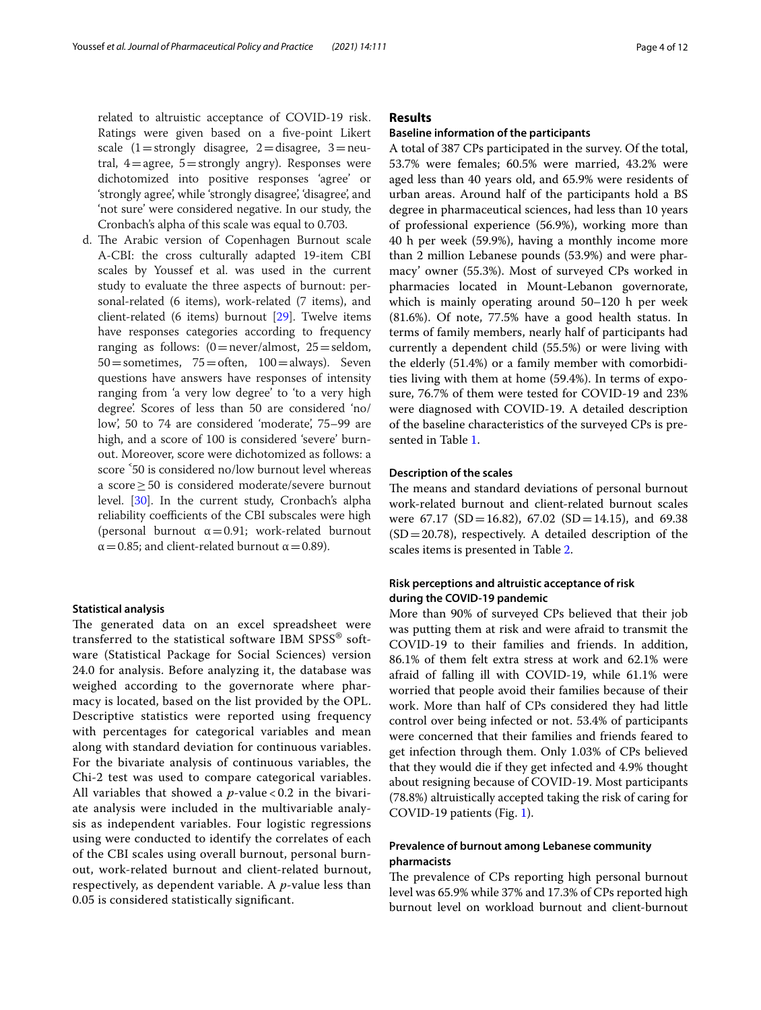related to altruistic acceptance of COVID-19 risk. Ratings were given based on a fve-point Likert scale  $(1 =$ strongly disagree,  $2 =$ disagree,  $3 =$ neutral,  $4=$ agree,  $5=$ strongly angry). Responses were dichotomized into positive responses 'agree' or 'strongly agree', while 'strongly disagree', 'disagree', and 'not sure' were considered negative. In our study, the Cronbach's alpha of this scale was equal to 0.703.

d. The Arabic version of Copenhagen Burnout scale A-CBI: the cross culturally adapted 19-item CBI scales by Youssef et al. was used in the current study to evaluate the three aspects of burnout: personal-related (6 items), work-related (7 items), and client-related (6 items) burnout [\[29](#page-11-17)]. Twelve items have responses categories according to frequency ranging as follows:  $(0=never/almost, 25=seldom,$  $50$  = sometimes,  $75$  = often,  $100$  = always). Seven questions have answers have responses of intensity ranging from 'a very low degree' to 'to a very high degree'. Scores of less than 50 are considered 'no/ low', 50 to 74 are considered 'moderate', 75–99 are high, and a score of 100 is considered 'severe' burnout. Moreover, score were dichotomized as follows: a score <sup>5</sup>0 is considered no/low burnout level whereas a score≥50 is considered moderate/severe burnout level. [\[30\]](#page-11-18). In the current study, Cronbach's alpha reliability coefficients of the CBI subscales were high (personal burnout  $\alpha = 0.91$ ; work-related burnout  $\alpha$  = 0.85; and client-related burnout  $\alpha$  = 0.89).

#### **Statistical analysis**

The generated data on an excel spreadsheet were transferred to the statistical software IBM SPSS® software (Statistical Package for Social Sciences) version 24.0 for analysis. Before analyzing it, the database was weighed according to the governorate where pharmacy is located, based on the list provided by the OPL. Descriptive statistics were reported using frequency with percentages for categorical variables and mean along with standard deviation for continuous variables. For the bivariate analysis of continuous variables, the Chi-2 test was used to compare categorical variables. All variables that showed a *p*-value < 0.2 in the bivariate analysis were included in the multivariable analysis as independent variables. Four logistic regressions using were conducted to identify the correlates of each of the CBI scales using overall burnout, personal burnout, work-related burnout and client-related burnout, respectively, as dependent variable. A *p*-value less than 0.05 is considered statistically signifcant.

### **Results**

#### **Baseline information of the participants**

A total of 387 CPs participated in the survey. Of the total, 53.7% were females; 60.5% were married, 43.2% were aged less than 40 years old, and 65.9% were residents of urban areas. Around half of the participants hold a BS degree in pharmaceutical sciences, had less than 10 years of professional experience (56.9%), working more than 40 h per week (59.9%), having a monthly income more than 2 million Lebanese pounds (53.9%) and were pharmacy' owner (55.3%). Most of surveyed CPs worked in pharmacies located in Mount-Lebanon governorate, which is mainly operating around 50–120 h per week (81.6%). Of note, 77.5% have a good health status. In terms of family members, nearly half of participants had currently a dependent child (55.5%) or were living with the elderly (51.4%) or a family member with comorbidities living with them at home (59.4%). In terms of exposure, 76.7% of them were tested for COVID-19 and 23% were diagnosed with COVID-19. A detailed description of the baseline characteristics of the surveyed CPs is presented in Table [1.](#page-4-0)

#### **Description of the scales**

The means and standard deviations of personal burnout work-related burnout and client-related burnout scales were 67.17 (SD = 16.82), 67.02 (SD = 14.15), and 69.38  $(SD = 20.78)$ , respectively. A detailed description of the scales items is presented in Table [2](#page-5-0).

## **Risk perceptions and altruistic acceptance of risk during the COVID‑19 pandemic**

More than 90% of surveyed CPs believed that their job was putting them at risk and were afraid to transmit the COVID-19 to their families and friends. In addition, 86.1% of them felt extra stress at work and 62.1% were afraid of falling ill with COVID-19, while 61.1% were worried that people avoid their families because of their work. More than half of CPs considered they had little control over being infected or not. 53.4% of participants were concerned that their families and friends feared to get infection through them. Only 1.03% of CPs believed that they would die if they get infected and 4.9% thought about resigning because of COVID-19. Most participants (78.8%) altruistically accepted taking the risk of caring for COVID-19 patients (Fig. [1\)](#page-6-0).

#### **Prevalence of burnout among Lebanese community pharmacists**

The prevalence of CPs reporting high personal burnout level was 65.9% while 37% and 17.3% of CPs reported high burnout level on workload burnout and client-burnout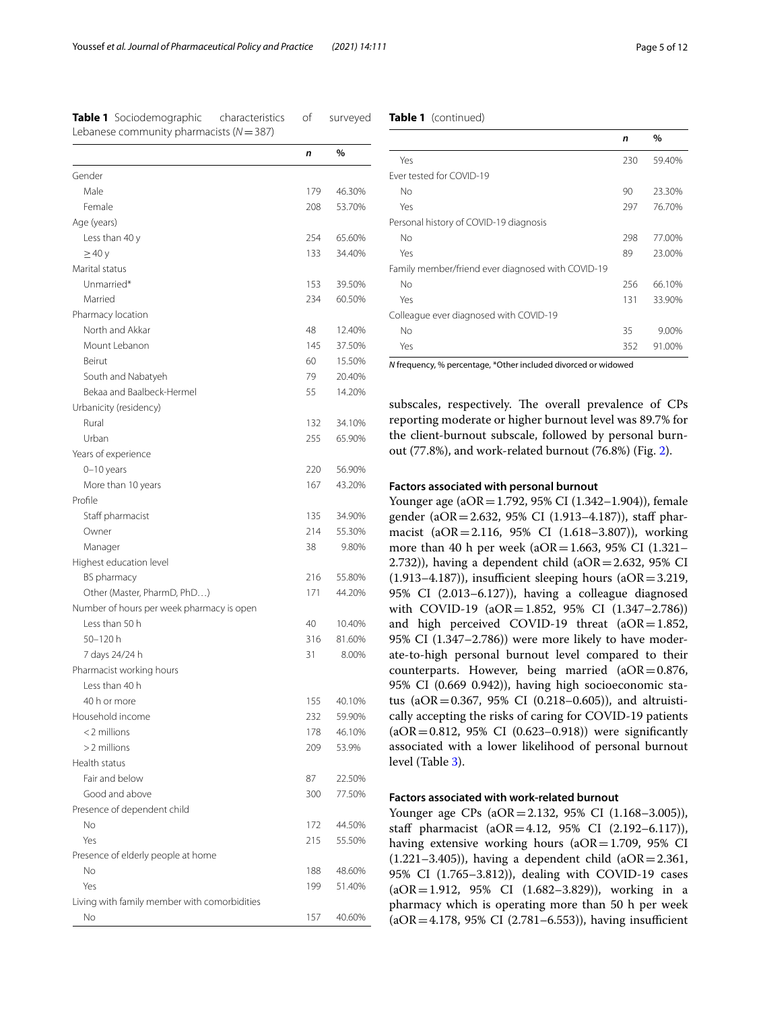<span id="page-4-0"></span>

| Table 1 Sociodemographic                   | characteristics |  |
|--------------------------------------------|-----------------|--|
| Lebanese community pharmacists $(N = 387)$ |                 |  |

#### **Table 1** (continued)

surveyed

|                                              | n   | %      |
|----------------------------------------------|-----|--------|
| Gender                                       |     |        |
| Male                                         | 179 | 46.30% |
| Female                                       | 208 | 53.70% |
| Age (years)                                  |     |        |
| Less than 40 y                               | 254 | 65.60% |
| $\geq$ 40 y                                  | 133 | 34.40% |
| Marital status                               |     |        |
| Unmarried*                                   | 153 | 39.50% |
| Married                                      | 234 | 60.50% |
| Pharmacy location                            |     |        |
| North and Akkar                              | 48  | 12.40% |
| Mount Lebanon                                | 145 | 37.50% |
| Beirut                                       | 60  | 15.50% |
| South and Nabatyeh                           | 79  | 20.40% |
| Bekaa and Baalbeck-Hermel                    | 55  | 14.20% |
| Urbanicity (residency)                       |     |        |
| Rural                                        | 132 | 34.10% |
| Urban                                        | 255 | 65.90% |
| Years of experience                          |     |        |
|                                              | 220 | 56.90% |
| $0-10$ years<br>More than 10 years           | 167 | 43.20% |
| Profile                                      |     |        |
| Staff pharmacist                             | 135 | 34.90% |
|                                              | 214 |        |
| Owner                                        | 38  | 55.30% |
| Manager                                      |     | 9.80%  |
| Highest education level                      |     |        |
| BS pharmacy                                  | 216 | 55.80% |
| Other (Master, PharmD, PhD)                  | 171 | 44.20% |
| Number of hours per week pharmacy is open    |     |        |
| Less than 50 h                               | 40  | 10.40% |
| 50-120 h                                     | 316 | 81.60% |
| 7 days 24/24 h                               | 31  | 8.00%  |
| Pharmacist working hours                     |     |        |
| Less than 40 h                               |     |        |
| 40 h or more                                 | 155 | 40.10% |
| Household income                             | 232 | 59.90% |
| <2 millions                                  | 178 | 46.10% |
| $>2$ millions                                | 209 | 53.9%  |
| Health status                                |     |        |
| Fair and below                               | 87  | 22.50% |
| Good and above                               | 300 | 77.50% |
| Presence of dependent child                  |     |        |
| No                                           | 172 | 44.50% |
| Yes                                          | 215 | 55.50% |
| Presence of elderly people at home           |     |        |
| No                                           | 188 | 48.60% |
| Yes                                          | 199 | 51.40% |
| Living with family member with comorbidities |     |        |
| No                                           | 157 | 40.60% |

|                                                   | n   | $\%$   |
|---------------------------------------------------|-----|--------|
| Yes                                               | 230 | 59.40% |
| Ever tested for COVID-19                          |     |        |
| No                                                | 90  | 23.30% |
| Yes                                               | 297 | 76.70% |
| Personal history of COVID-19 diagnosis            |     |        |
| No                                                | 298 | 77.00% |
| Yes                                               | 89  | 23.00% |
| Family member/friend ever diagnosed with COVID-19 |     |        |
| No                                                | 256 | 66.10% |
| Yes                                               | 131 | 33.90% |
| Colleague ever diagnosed with COVID-19            |     |        |
| No                                                | 35  | 9.00%  |
| Yes                                               | 352 | 91.00% |

*N* frequency, % percentage, \*Other included divorced or widowed

subscales, respectively. The overall prevalence of CPs reporting moderate or higher burnout level was 89.7% for the client-burnout subscale, followed by personal burnout (77.8%), and work-related burnout (76.8%) (Fig. [2\)](#page-6-1).

#### **Factors associated with personal burnout**

Younger age (aOR = 1.792, 95% CI (1.342–1.904)), female gender (aOR=2.632, 95% CI (1.913–4.187)), staf pharmacist (aOR=2.116, 95% CI (1.618–3.807)), working more than 40 h per week ( $aOR = 1.663$ , 95% CI (1.321– 2.732)), having a dependent child (a $OR = 2.632$ , 95% CI  $(1.913-4.187)$ , insufficient sleeping hours  $(aOR=3.219,$ 95% CI (2.013–6.127)), having a colleague diagnosed with COVID-19 (aOR=1.852, 95% CI (1.347-2.786)) and high perceived COVID-19 threat  $(aOR=1.852,$ 95% CI (1.347–2.786)) were more likely to have moderate-to-high personal burnout level compared to their counterparts. However, being married  $(aOR=0.876,$ 95% CI (0.669 0.942)), having high socioeconomic status (aOR=0.367, 95% CI (0.218–0.605)), and altruistically accepting the risks of caring for COVID-19 patients (aOR=0.812, 95% CI (0.623–0.918)) were signifcantly associated with a lower likelihood of personal burnout level (Table [3\)](#page-7-0).

#### **Factors associated with work‑related burnout**

Younger age CPs (aOR=2.132, 95% CI (1.168–3.005)), staff pharmacist (aOR=4.12, 95% CI (2.192-6.117)), having extensive working hours  $(aOR=1.709, 95\% \text{ CI})$  $(1.221-3.405)$ , having a dependent child  $(aOR=2.361,$ 95% CI (1.765–3.812)), dealing with COVID-19 cases (aOR=1.912, 95% CI (1.682–3.829)), working in a pharmacy which is operating more than 50 h per week  $(aOR = 4.178, 95\% \text{ CI } (2.781 - 6.553)$ , having insufficient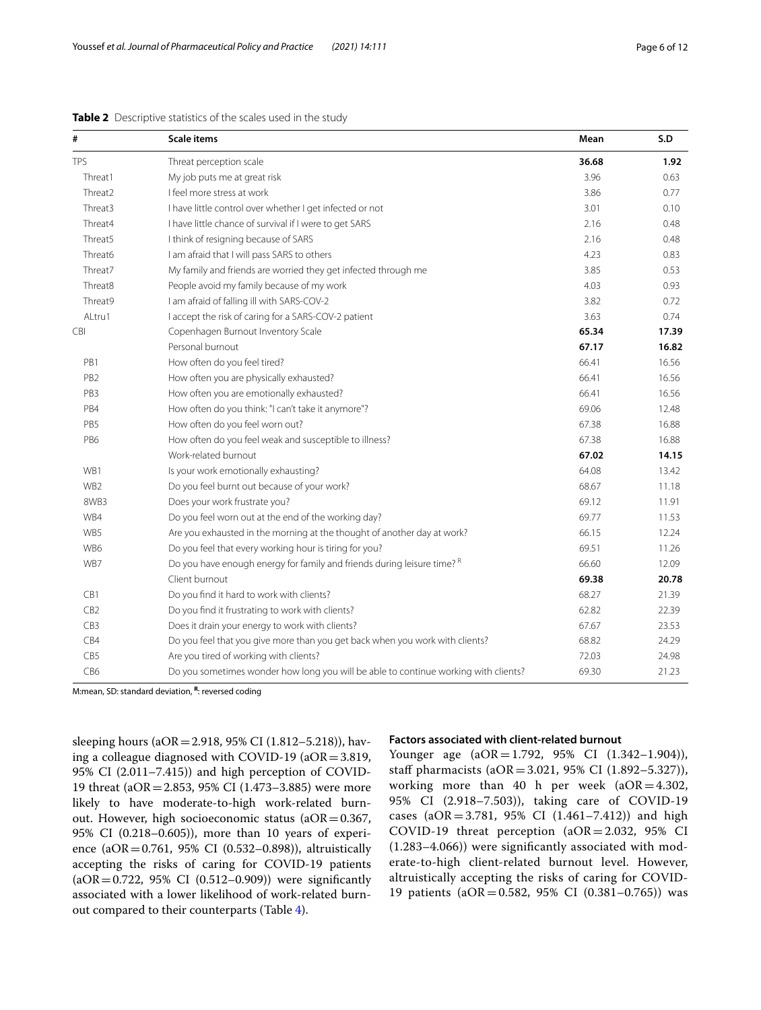| #               | <b>Scale items</b>                                                                  | Mean  | S.D   |
|-----------------|-------------------------------------------------------------------------------------|-------|-------|
| <b>TPS</b>      | Threat perception scale                                                             | 36.68 | 1.92  |
| Threat1         | My job puts me at great risk                                                        | 3.96  | 0.63  |
| Threat2         | I feel more stress at work                                                          | 3.86  | 0.77  |
| Threat3         | I have little control over whether I get infected or not                            | 3.01  | 0.10  |
| Threat4         | I have little chance of survival if I were to get SARS                              | 2.16  | 0.48  |
| Threat5         | I think of resigning because of SARS                                                | 2.16  | 0.48  |
| Threat6         | I am afraid that I will pass SARS to others                                         | 4.23  | 0.83  |
| Threat7         | My family and friends are worried they get infected through me                      | 3.85  | 0.53  |
| Threat8         | People avoid my family because of my work                                           | 4.03  | 0.93  |
| Threat9         | I am afraid of falling ill with SARS-COV-2                                          | 3.82  | 0.72  |
| ALtru1          | I accept the risk of caring for a SARS-COV-2 patient                                | 3.63  | 0.74  |
| CBI             | Copenhagen Burnout Inventory Scale                                                  | 65.34 | 17.39 |
|                 | Personal burnout                                                                    | 67.17 | 16.82 |
| PB1             | How often do you feel tired?                                                        | 66.41 | 16.56 |
| PB <sub>2</sub> | How often you are physically exhausted?                                             | 66.41 | 16.56 |
| PB <sub>3</sub> | How often you are emotionally exhausted?                                            | 66.41 | 16.56 |
| PB4             | How often do you think: "I can't take it anymore"?                                  | 69.06 | 12.48 |
| PB5             | How often do you feel worn out?                                                     | 67.38 | 16.88 |
| PB6             | How often do you feel weak and susceptible to illness?                              | 67.38 | 16.88 |
|                 | Work-related burnout                                                                | 67.02 | 14.15 |
| WB1             | Is your work emotionally exhausting?                                                | 64.08 | 13.42 |
| WB <sub>2</sub> | Do you feel burnt out because of your work?                                         | 68.67 | 11.18 |
| 8WB3            | Does your work frustrate you?                                                       | 69.12 | 11.91 |
| WB4             | Do you feel worn out at the end of the working day?                                 | 69.77 | 11.53 |
| WB5             | Are you exhausted in the morning at the thought of another day at work?             | 66.15 | 12.24 |
| WB6             | Do you feel that every working hour is tiring for you?                              | 69.51 | 11.26 |
| WB7             | Do you have enough energy for family and friends during leisure time? <sup>R</sup>  | 66.60 | 12.09 |
|                 | Client burnout                                                                      | 69.38 | 20.78 |
| CB1             | Do you find it hard to work with clients?                                           | 68.27 | 21.39 |
| CB <sub>2</sub> | Do you find it frustrating to work with clients?                                    | 62.82 | 22.39 |
| CB <sub>3</sub> | Does it drain your energy to work with clients?                                     | 67.67 | 23.53 |
| CB4             | Do you feel that you give more than you get back when you work with clients?        | 68.82 | 24.29 |
| CB5             | Are you tired of working with clients?                                              | 72.03 | 24.98 |
| CB6             | Do you sometimes wonder how long you will be able to continue working with clients? | 69.30 | 21.23 |

#### <span id="page-5-0"></span>**Table 2** Descriptive statistics of the scales used in the study

M:mean, SD: standard deviation, **<sup>R</sup>**: reversed coding

sleeping hours (aOR=2.918, 95% CI (1.812–5.218)), having a colleague diagnosed with COVID-19 (aOR=3.819, 95% CI (2.011–7.415)) and high perception of COVID-19 threat (aOR=2.853, 95% CI (1.473–3.885) were more likely to have moderate-to-high work-related burnout. However, high socioeconomic status ( $aOR = 0.367$ , 95% CI (0.218–0.605)), more than 10 years of experience (aOR=0.761, 95% CI (0.532–0.898)), altruistically accepting the risks of caring for COVID-19 patients  $(aOR = 0.722, 95\% \text{ CI } (0.512 - 0.909))$  were significantly associated with a lower likelihood of work-related burnout compared to their counterparts (Table [4](#page-8-0)).

#### **Factors associated with client‑related burnout**

Younger age (aOR=1.792, 95% CI (1.342–1.904)), staff pharmacists (aOR=3.021, 95% CI (1.892–5.327)), working more than 40 h per week  $(aOR=4.302,$ 95% CI (2.918–7.503)), taking care of COVID-19 cases  $(aOR = 3.781, 95\% \text{ CI } (1.461 - 7.412))$  and high COVID-19 threat perception (aOR=2.032, 95% CI (1.283–4.066)) were signifcantly associated with moderate-to-high client-related burnout level. However, altruistically accepting the risks of caring for COVID-19 patients (aOR=0.582, 95% CI (0.381–0.765)) was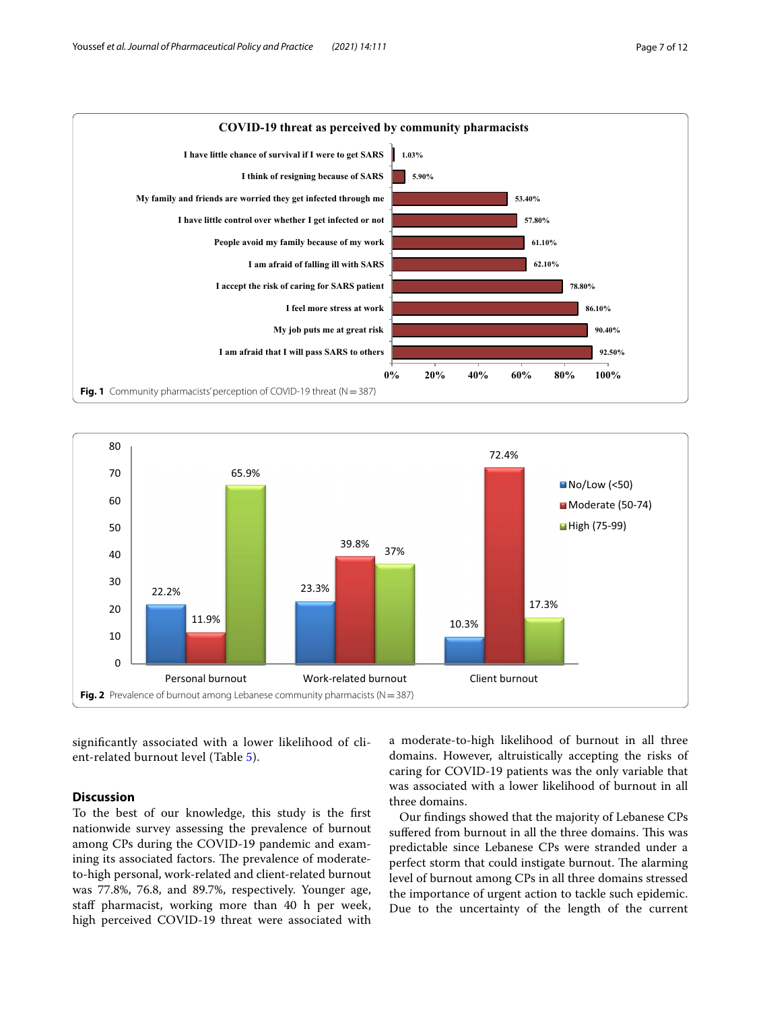

<span id="page-6-0"></span>

<span id="page-6-1"></span>signifcantly associated with a lower likelihood of client-related burnout level (Table [5\)](#page-9-0).

#### **Discussion**

To the best of our knowledge, this study is the frst nationwide survey assessing the prevalence of burnout among CPs during the COVID-19 pandemic and examining its associated factors. The prevalence of moderateto-high personal, work-related and client-related burnout was 77.8%, 76.8, and 89.7%, respectively. Younger age, staff pharmacist, working more than 40 h per week, high perceived COVID-19 threat were associated with a moderate-to-high likelihood of burnout in all three domains. However, altruistically accepting the risks of caring for COVID-19 patients was the only variable that was associated with a lower likelihood of burnout in all three domains.

Our fndings showed that the majority of Lebanese CPs suffered from burnout in all the three domains. This was predictable since Lebanese CPs were stranded under a perfect storm that could instigate burnout. The alarming level of burnout among CPs in all three domains stressed the importance of urgent action to tackle such epidemic. Due to the uncertainty of the length of the current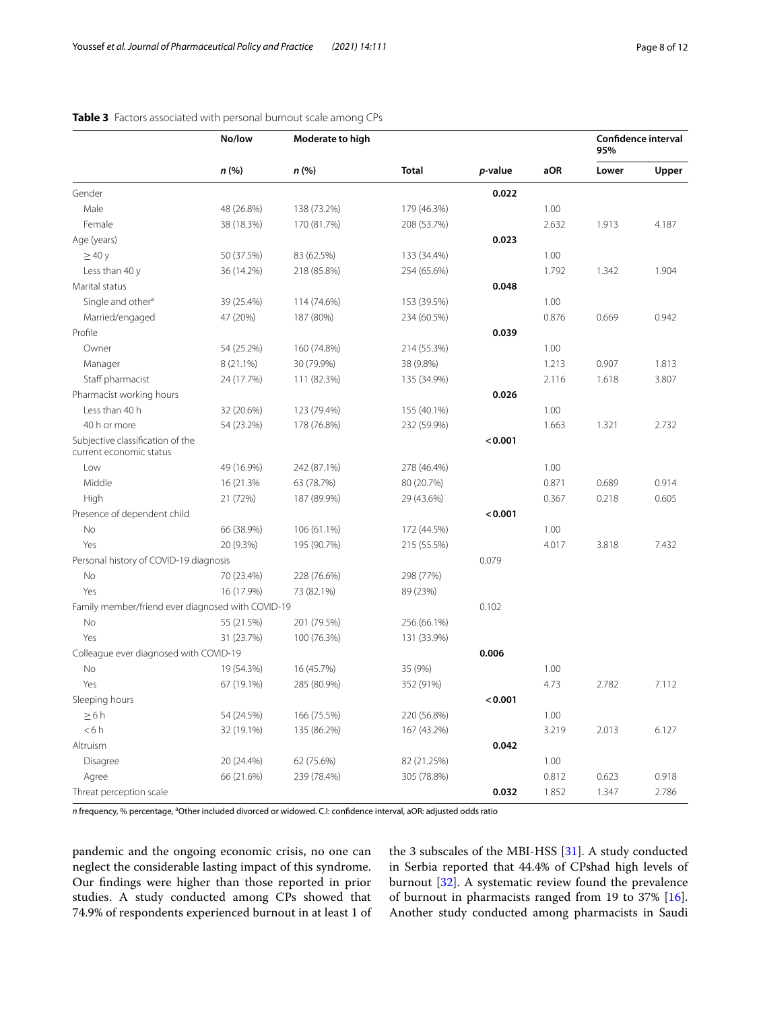|                                                             | No/low     | Moderate to high |              |         |       | <b>Confidence interval</b><br>95% |       |
|-------------------------------------------------------------|------------|------------------|--------------|---------|-------|-----------------------------------|-------|
|                                                             | n (%)      | n (%)            | <b>Total</b> | p-value | aOR   | Lower                             | Upper |
| Gender                                                      |            |                  |              | 0.022   |       |                                   |       |
| Male                                                        | 48 (26.8%) | 138 (73.2%)      | 179 (46.3%)  |         | 1.00  |                                   |       |
| Female                                                      | 38 (18.3%) | 170 (81.7%)      | 208 (53.7%)  |         | 2.632 | 1.913                             | 4.187 |
| Age (years)                                                 |            |                  |              | 0.023   |       |                                   |       |
| $\geq$ 40 y                                                 | 50 (37.5%) | 83 (62.5%)       | 133 (34.4%)  |         | 1.00  |                                   |       |
| Less than 40 y                                              | 36 (14.2%) | 218 (85.8%)      | 254 (65.6%)  |         | 1.792 | 1.342                             | 1.904 |
| Marital status                                              |            |                  |              | 0.048   |       |                                   |       |
| Single and other <sup>a</sup>                               | 39 (25.4%) | 114 (74.6%)      | 153 (39.5%)  |         | 1.00  |                                   |       |
| Married/engaged                                             | 47 (20%)   | 187 (80%)        | 234 (60.5%)  |         | 0.876 | 0.669                             | 0.942 |
| Profile                                                     |            |                  |              | 0.039   |       |                                   |       |
| Owner                                                       | 54 (25.2%) | 160 (74.8%)      | 214 (55.3%)  |         | 1.00  |                                   |       |
| Manager                                                     | 8 (21.1%)  | 30 (79.9%)       | 38 (9.8%)    |         | 1.213 | 0.907                             | 1.813 |
| Staff pharmacist                                            | 24 (17.7%) | 111 (82.3%)      | 135 (34.9%)  |         | 2.116 | 1.618                             | 3.807 |
| Pharmacist working hours                                    |            |                  |              | 0.026   |       |                                   |       |
| Less than 40 h                                              | 32 (20.6%) | 123 (79.4%)      | 155 (40.1%)  |         | 1.00  |                                   |       |
| 40 h or more                                                | 54 (23.2%) | 178 (76.8%)      | 232 (59.9%)  |         | 1.663 | 1.321                             | 2.732 |
| Subjective classification of the<br>current economic status |            |                  |              | < 0.001 |       |                                   |       |
| Low                                                         | 49 (16.9%) | 242 (87.1%)      | 278 (46.4%)  |         | 1.00  |                                   |       |
| Middle                                                      | 16 (21.3%) | 63 (78.7%)       | 80 (20.7%)   |         | 0.871 | 0.689                             | 0.914 |
| High                                                        | 21 (72%)   | 187 (89.9%)      | 29 (43.6%)   |         | 0.367 | 0.218                             | 0.605 |
| Presence of dependent child                                 |            |                  |              | < 0.001 |       |                                   |       |
| No                                                          | 66 (38.9%) | 106 (61.1%)      | 172 (44.5%)  |         | 1.00  |                                   |       |
| Yes                                                         | 20 (9.3%)  | 195 (90.7%)      | 215 (55.5%)  |         | 4.017 | 3.818                             | 7.432 |
| Personal history of COVID-19 diagnosis                      |            |                  |              | 0.079   |       |                                   |       |
| No                                                          | 70 (23.4%) | 228 (76.6%)      | 298 (77%)    |         |       |                                   |       |
| Yes                                                         | 16 (17.9%) | 73 (82.1%)       | 89 (23%)     |         |       |                                   |       |
| Family member/friend ever diagnosed with COVID-19           |            |                  |              | 0.102   |       |                                   |       |
| No                                                          | 55 (21.5%) | 201 (79.5%)      | 256 (66.1%)  |         |       |                                   |       |
| Yes                                                         | 31 (23.7%) | 100 (76.3%)      | 131 (33.9%)  |         |       |                                   |       |
| Colleague ever diagnosed with COVID-19                      |            |                  |              | 0.006   |       |                                   |       |
| No                                                          | 19 (54.3%) | 16 (45.7%)       | 35 (9%)      |         | 1.00  |                                   |       |
| Yes                                                         | 67 (19.1%) | 285 (80.9%)      | 352 (91%)    |         | 4.73  | 2.782                             | 7.112 |
| Sleeping hours                                              |            |                  |              | < 0.001 |       |                                   |       |
| $\geq 6 h$                                                  | 54 (24.5%) | 166 (75.5%)      | 220 (56.8%)  |         | 1.00  |                                   |       |
| < 6 h                                                       | 32 (19.1%) | 135 (86.2%)      | 167 (43.2%)  |         | 3.219 | 2.013                             | 6.127 |
| Altruism                                                    |            |                  |              | 0.042   |       |                                   |       |
| Disagree                                                    | 20 (24.4%) | 62 (75.6%)       | 82 (21.25%)  |         | 1.00  |                                   |       |
| Agree                                                       | 66 (21.6%) | 239 (78.4%)      | 305 (78.8%)  |         | 0.812 | 0.623                             | 0.918 |
| Threat perception scale                                     |            |                  |              | 0.032   | 1.852 | 1.347                             | 2.786 |

#### <span id="page-7-0"></span>**Table 3** Factors associated with personal burnout scale among CPs

*n* frequency, % percentage, <sup>a</sup>Other included divorced or widowed. C.I: confidence interval, aOR: adjusted odds ratio

pandemic and the ongoing economic crisis, no one can neglect the considerable lasting impact of this syndrome. Our fndings were higher than those reported in prior studies. A study conducted among CPs showed that 74.9% of respondents experienced burnout in at least 1 of the 3 subscales of the MBI-HSS [\[31](#page-11-19)]. A study conducted in Serbia reported that 44.4% of CPshad high levels of burnout [[32\]](#page-11-20). A systematic review found the prevalence of burnout in pharmacists ranged from 19 to 37% [\[16](#page-11-4)]. Another study conducted among pharmacists in Saudi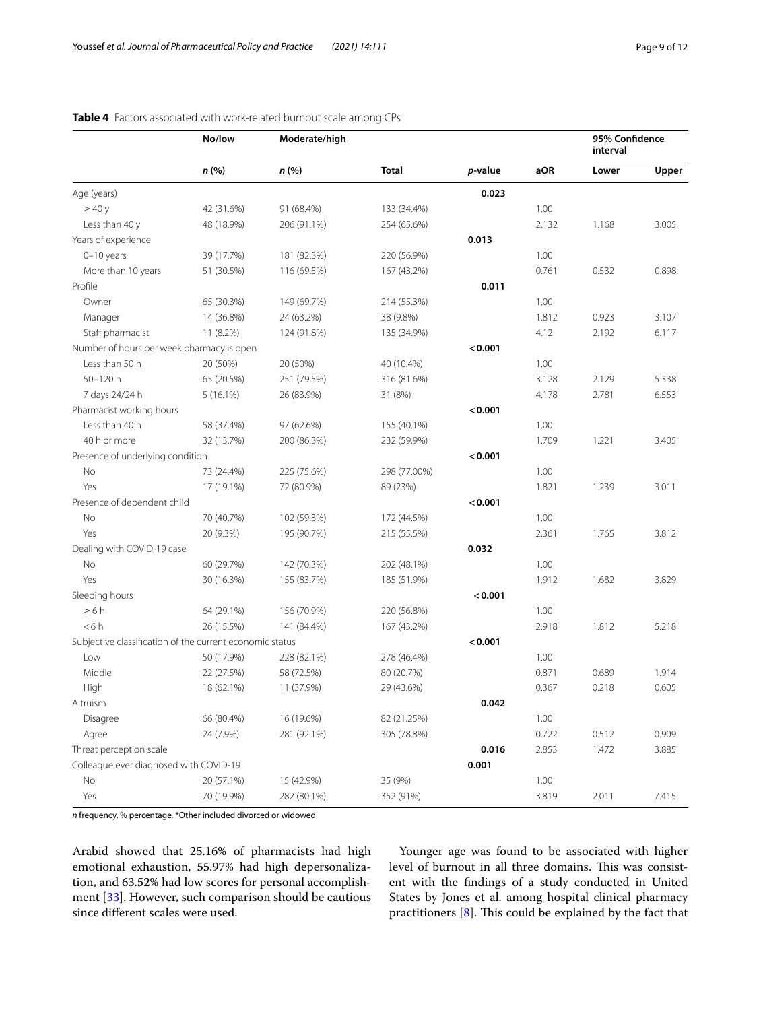|                                                          | No/low<br>n(%) | Moderate/high<br>n (%) | <b>Total</b> | p-value | aOR   | 95% Confidence<br>interval |       |
|----------------------------------------------------------|----------------|------------------------|--------------|---------|-------|----------------------------|-------|
|                                                          |                |                        |              |         |       | Lower                      | Upper |
| Age (years)                                              |                |                        |              | 0.023   |       |                            |       |
| $\geq$ 40 y                                              | 42 (31.6%)     | 91 (68.4%)             | 133 (34.4%)  |         | 1.00  |                            |       |
| Less than 40 y                                           | 48 (18.9%)     | 206 (91.1%)            | 254 (65.6%)  |         | 2.132 | 1.168                      | 3.005 |
| Years of experience                                      |                |                        |              | 0.013   |       |                            |       |
| $0 - 10$ years                                           | 39 (17.7%)     | 181 (82.3%)            | 220 (56.9%)  |         | 1.00  |                            |       |
| More than 10 years                                       | 51 (30.5%)     | 116 (69.5%)            | 167 (43.2%)  |         | 0.761 | 0.532                      | 0.898 |
| Profile                                                  |                |                        |              | 0.011   |       |                            |       |
| Owner                                                    | 65 (30.3%)     | 149 (69.7%)            | 214 (55.3%)  |         | 1.00  |                            |       |
| Manager                                                  | 14 (36.8%)     | 24 (63.2%)             | 38 (9.8%)    |         | 1.812 | 0.923                      | 3.107 |
| Staff pharmacist                                         | 11 (8.2%)      | 124 (91.8%)            | 135 (34.9%)  |         | 4.12  | 2.192                      | 6.117 |
| Number of hours per week pharmacy is open                |                |                        |              | < 0.001 |       |                            |       |
| Less than 50 h                                           | 20 (50%)       | 20 (50%)               | 40 (10.4%)   |         | 1.00  |                            |       |
| 50-120h                                                  | 65 (20.5%)     | 251 (79.5%)            | 316 (81.6%)  |         | 3.128 | 2.129                      | 5.338 |
| 7 days 24/24 h                                           | $5(16.1\%)$    | 26 (83.9%)             | 31 (8%)      |         | 4.178 | 2.781                      | 6.553 |
| Pharmacist working hours                                 |                |                        |              | < 0.001 |       |                            |       |
| Less than 40 h                                           | 58 (37.4%)     | 97 (62.6%)             | 155 (40.1%)  |         | 1.00  |                            |       |
| 40 h or more                                             | 32 (13.7%)     | 200 (86.3%)            | 232 (59.9%)  |         | 1.709 | 1.221                      | 3.405 |
| Presence of underlying condition                         |                |                        |              | < 0.001 |       |                            |       |
| No                                                       | 73 (24.4%)     | 225 (75.6%)            | 298 (77.00%) |         | 1.00  |                            |       |
| Yes                                                      | 17 (19.1%)     | 72 (80.9%)             | 89 (23%)     |         | 1.821 | 1.239                      | 3.011 |
| Presence of dependent child                              |                |                        |              | < 0.001 |       |                            |       |
| No                                                       | 70 (40.7%)     | 102 (59.3%)            | 172 (44.5%)  |         | 1.00  |                            |       |
| Yes                                                      | 20 (9.3%)      | 195 (90.7%)            | 215 (55.5%)  |         | 2.361 | 1.765                      | 3.812 |
| Dealing with COVID-19 case                               |                |                        |              | 0.032   |       |                            |       |
| No                                                       | 60 (29.7%)     | 142 (70.3%)            | 202 (48.1%)  |         | 1.00  |                            |       |
| Yes                                                      | 30 (16.3%)     | 155 (83.7%)            | 185 (51.9%)  |         | 1.912 | 1.682                      | 3.829 |
| Sleeping hours                                           |                |                        |              | < 0.001 |       |                            |       |
| $\geq 6 h$                                               | 64 (29.1%)     | 156 (70.9%)            | 220 (56.8%)  |         | 1.00  |                            |       |
| < 6 h                                                    | 26 (15.5%)     | 141 (84.4%)            | 167 (43.2%)  |         | 2.918 | 1.812                      | 5.218 |
| Subjective classification of the current economic status |                |                        |              | < 0.001 |       |                            |       |
| Low                                                      | 50 (17.9%)     | 228 (82.1%)            | 278 (46.4%)  |         | 1.00  |                            |       |
| Middle                                                   | 22 (27.5%)     | 58 (72.5%)             | 80 (20.7%)   |         | 0.871 | 0.689                      | 1.914 |
| High                                                     | 18 (62.1%)     | 11 (37.9%)             | 29 (43.6%)   |         | 0.367 | 0.218                      | 0.605 |
| Altruism                                                 |                |                        |              | 0.042   |       |                            |       |
| Disagree                                                 | 66 (80.4%)     | 16 (19.6%)             | 82 (21.25%)  |         | 1.00  |                            |       |
| Agree                                                    | 24 (7.9%)      | 281 (92.1%)            | 305 (78.8%)  |         | 0.722 | 0.512                      | 0.909 |
| Threat perception scale                                  |                |                        |              | 0.016   | 2.853 | 1.472                      | 3.885 |
| Colleague ever diagnosed with COVID-19                   |                |                        |              | 0.001   |       |                            |       |
| No                                                       |                |                        |              |         |       |                            |       |
|                                                          | 20 (57.1%)     | 15 (42.9%)             | 35 (9%)      |         | 1.00  |                            |       |

#### <span id="page-8-0"></span>**Table 4** Factors associated with work-related burnout scale among CPs

*n* frequency, % percentage, \*Other included divorced or widowed

Arabid showed that 25.16% of pharmacists had high emotional exhaustion, 55.97% had high depersonalization, and 63.52% had low scores for personal accomplishment [[33](#page-11-21)]. However, such comparison should be cautious since diferent scales were used.

Younger age was found to be associated with higher level of burnout in all three domains. This was consistent with the fndings of a study conducted in United States by Jones et al. among hospital clinical pharmacy practitioners  $[8]$ . This could be explained by the fact that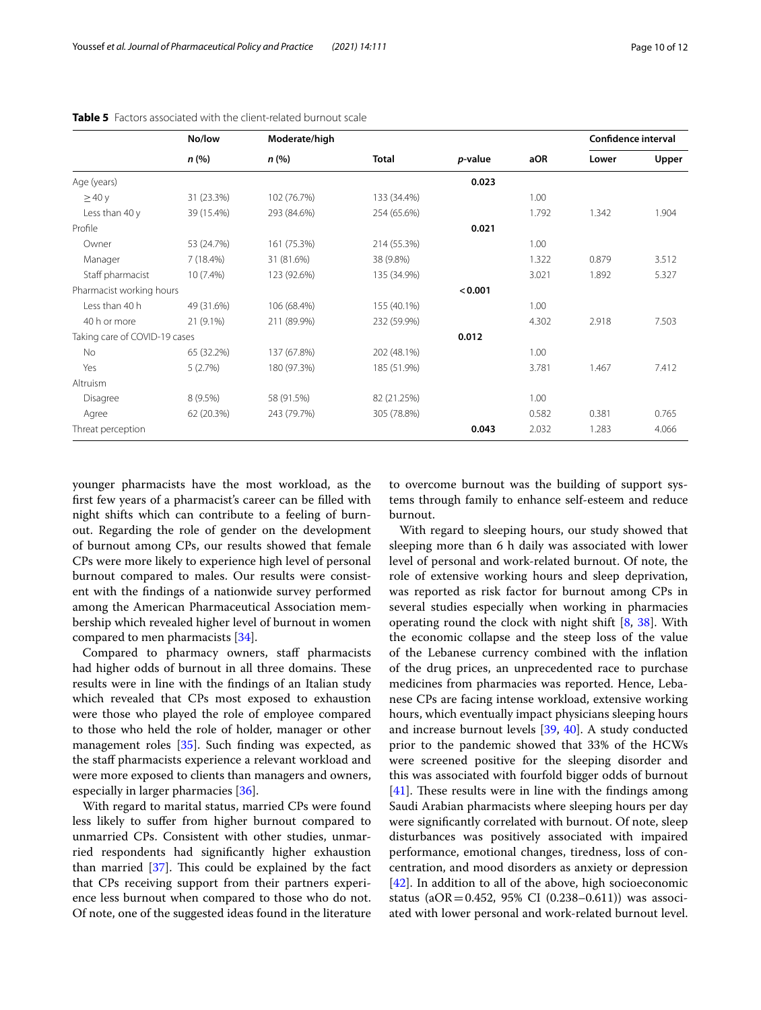|                               | No/low<br>n (%) | Moderate/high<br>n (%) | <b>Total</b> | <i>p</i> -value | aOR   | Confidence interval |       |
|-------------------------------|-----------------|------------------------|--------------|-----------------|-------|---------------------|-------|
|                               |                 |                        |              |                 |       | Lower               | Upper |
| Age (years)                   |                 |                        |              | 0.023           |       |                     |       |
| $\geq$ 40 y                   | 31 (23.3%)      | 102 (76.7%)            | 133 (34.4%)  |                 | 1.00  |                     |       |
| Less than 40 y                | 39 (15.4%)      | 293 (84.6%)            | 254 (65.6%)  |                 | 1.792 | 1.342               | 1.904 |
| Profile                       |                 |                        |              | 0.021           |       |                     |       |
| Owner                         | 53 (24.7%)      | 161 (75.3%)            | 214 (55.3%)  |                 | 1.00  |                     |       |
| Manager                       | 7(18.4%)        | 31 (81.6%)             | 38 (9.8%)    |                 | 1.322 | 0.879               | 3.512 |
| Staff pharmacist              | 10 (7.4%)       | 123 (92.6%)            | 135 (34.9%)  |                 | 3.021 | 1.892               | 5.327 |
| Pharmacist working hours      |                 |                        |              | < 0.001         |       |                     |       |
| Less than 40 h                | 49 (31.6%)      | 106 (68.4%)            | 155 (40.1%)  |                 | 1.00  |                     |       |
| 40 h or more                  | 21 (9.1%)       | 211 (89.9%)            | 232 (59.9%)  |                 | 4.302 | 2.918               | 7.503 |
| Taking care of COVID-19 cases |                 |                        |              | 0.012           |       |                     |       |
| No                            | 65 (32.2%)      | 137 (67.8%)            | 202 (48.1%)  |                 | 1.00  |                     |       |
| Yes                           | 5(2.7%)         | 180 (97.3%)            | 185 (51.9%)  |                 | 3.781 | 1.467               | 7.412 |
| Altruism                      |                 |                        |              |                 |       |                     |       |
| Disagree                      | $8(9.5\%)$      | 58 (91.5%)             | 82 (21.25%)  |                 | 1.00  |                     |       |
| Agree                         | 62 (20.3%)      | 243 (79.7%)            | 305 (78.8%)  |                 | 0.582 | 0.381               | 0.765 |
| Threat perception             |                 |                        |              | 0.043           | 2.032 | 1.283               | 4.066 |

<span id="page-9-0"></span>**Table 5** Factors associated with the client-related burnout scale

younger pharmacists have the most workload, as the frst few years of a pharmacist's career can be flled with night shifts which can contribute to a feeling of burnout. Regarding the role of gender on the development of burnout among CPs, our results showed that female CPs were more likely to experience high level of personal burnout compared to males. Our results were consistent with the fndings of a nationwide survey performed among the American Pharmaceutical Association membership which revealed higher level of burnout in women compared to men pharmacists [\[34](#page-11-22)].

Compared to pharmacy owners, staf pharmacists had higher odds of burnout in all three domains. These results were in line with the fndings of an Italian study which revealed that CPs most exposed to exhaustion were those who played the role of employee compared to those who held the role of holder, manager or other management roles [[35](#page-11-23)]. Such fnding was expected, as the staf pharmacists experience a relevant workload and were more exposed to clients than managers and owners, especially in larger pharmacies [\[36](#page-11-24)].

With regard to marital status, married CPs were found less likely to sufer from higher burnout compared to unmarried CPs. Consistent with other studies, unmarried respondents had signifcantly higher exhaustion than married  $[37]$  $[37]$ . This could be explained by the fact that CPs receiving support from their partners experience less burnout when compared to those who do not. Of note, one of the suggested ideas found in the literature

to overcome burnout was the building of support systems through family to enhance self-esteem and reduce burnout.

With regard to sleeping hours, our study showed that sleeping more than 6 h daily was associated with lower level of personal and work-related burnout. Of note, the role of extensive working hours and sleep deprivation, was reported as risk factor for burnout among CPs in several studies especially when working in pharmacies operating round the clock with night shift [\[8](#page-10-6), [38\]](#page-11-26). With the economic collapse and the steep loss of the value of the Lebanese currency combined with the infation of the drug prices, an unprecedented race to purchase medicines from pharmacies was reported. Hence, Lebanese CPs are facing intense workload, extensive working hours, which eventually impact physicians sleeping hours and increase burnout levels [[39,](#page-11-27) [40](#page-11-28)]. A study conducted prior to the pandemic showed that 33% of the HCWs were screened positive for the sleeping disorder and this was associated with fourfold bigger odds of burnout  $[41]$  $[41]$ . These results were in line with the findings among Saudi Arabian pharmacists where sleeping hours per day were signifcantly correlated with burnout. Of note, sleep disturbances was positively associated with impaired performance, emotional changes, tiredness, loss of concentration, and mood disorders as anxiety or depression [[42\]](#page-11-30). In addition to all of the above, high socioeconomic status (aOR=0.452, 95% CI (0.238–0.611)) was associated with lower personal and work-related burnout level.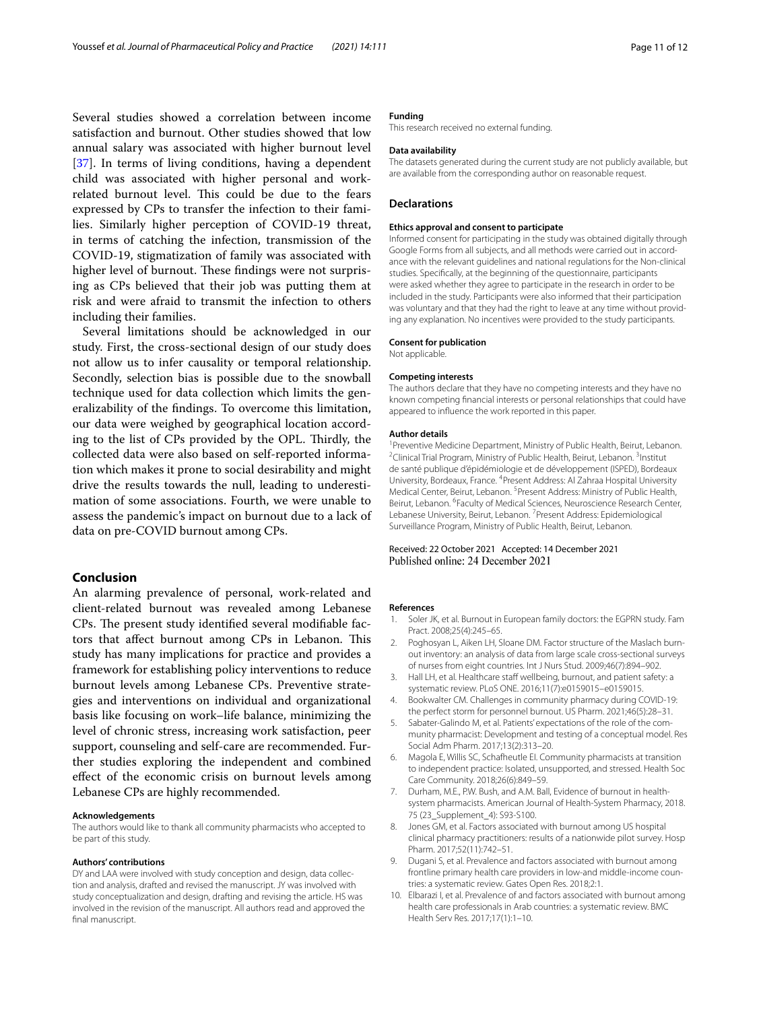Several studies showed a correlation between income satisfaction and burnout. Other studies showed that low annual salary was associated with higher burnout level [[37\]](#page-11-25). In terms of living conditions, having a dependent child was associated with higher personal and workrelated burnout level. This could be due to the fears expressed by CPs to transfer the infection to their families. Similarly higher perception of COVID-19 threat, in terms of catching the infection, transmission of the COVID-19, stigmatization of family was associated with higher level of burnout. These findings were not surprising as CPs believed that their job was putting them at risk and were afraid to transmit the infection to others including their families.

Several limitations should be acknowledged in our study. First, the cross-sectional design of our study does not allow us to infer causality or temporal relationship. Secondly, selection bias is possible due to the snowball technique used for data collection which limits the generalizability of the fndings. To overcome this limitation, our data were weighed by geographical location according to the list of CPs provided by the OPL. Thirdly, the collected data were also based on self-reported information which makes it prone to social desirability and might drive the results towards the null, leading to underestimation of some associations. Fourth, we were unable to assess the pandemic's impact on burnout due to a lack of data on pre-COVID burnout among CPs.

# **Conclusion**

An alarming prevalence of personal, work-related and client-related burnout was revealed among Lebanese CPs. The present study identified several modifiable factors that affect burnout among CPs in Lebanon. This study has many implications for practice and provides a framework for establishing policy interventions to reduce burnout levels among Lebanese CPs. Preventive strategies and interventions on individual and organizational basis like focusing on work–life balance, minimizing the level of chronic stress, increasing work satisfaction, peer support, counseling and self-care are recommended. Further studies exploring the independent and combined efect of the economic crisis on burnout levels among Lebanese CPs are highly recommended.

#### **Acknowledgements**

The authors would like to thank all community pharmacists who accepted to be part of this study.

#### **Authors' contributions**

DY and LAA were involved with study conception and design, data collection and analysis, drafted and revised the manuscript. JY was involved with study conceptualization and design, drafting and revising the article. HS was involved in the revision of the manuscript. All authors read and approved the fnal manuscript.

#### **Funding**

This research received no external funding.

#### **Data availability**

The datasets generated during the current study are not publicly available, but are available from the corresponding author on reasonable request.

#### **Declarations**

#### **Ethics approval and consent to participate**

Informed consent for participating in the study was obtained digitally through Google Forms from all subjects, and all methods were carried out in accordance with the relevant guidelines and national regulations for the Non-clinical studies. Specifcally, at the beginning of the questionnaire, participants were asked whether they agree to participate in the research in order to be included in the study. Participants were also informed that their participation was voluntary and that they had the right to leave at any time without providing any explanation. No incentives were provided to the study participants.

#### **Consent for publication**

Not applicable.

#### **Competing interests**

The authors declare that they have no competing interests and they have no known competing fnancial interests or personal relationships that could have appeared to infuence the work reported in this paper.

#### **Author details**

<sup>1</sup> Preventive Medicine Department, Ministry of Public Health, Beirut, Lebanon.<br><sup>2</sup> Clinical Trial Program Ministry of Public Hoalth, Beirut, Lobanon. <sup>3</sup> Institut. Clinical Trial Program, Ministry of Public Health, Beirut, Lebanon. <sup>3</sup>Institut de santé publique d'épidémiologie et de développement (ISPED), Bordeaux University, Bordeaux, France. <sup>4</sup> Present Address: Al Zahraa Hospital University Medical Center, Beirut, Lebanon. <sup>5</sup> Present Address: Ministry of Public Health, Beirut, Lebanon. <sup>6</sup> Faculty of Medical Sciences, Neuroscience Research Center, Lebanese University, Beirut, Lebanon. <sup>7</sup> Present Address: Epidemiological Surveillance Program, Ministry of Public Health, Beirut, Lebanon.

#### Received: 22 October 2021 Accepted: 14 December 2021 Published online: 24 December 2021

#### **References**

- <span id="page-10-0"></span>1. Soler JK, et al. Burnout in European family doctors: the EGPRN study. Fam Pract. 2008;25(4):245–65.
- 2. Poghosyan L, Aiken LH, Sloane DM. Factor structure of the Maslach burnout inventory: an analysis of data from large scale cross-sectional surveys of nurses from eight countries. Int J Nurs Stud. 2009;46(7):894–902.
- 3. Hall LH, et al. Healthcare staff wellbeing, burnout, and patient safety: a systematic review. PLoS ONE. 2016;11(7):e0159015–e0159015.
- <span id="page-10-1"></span>4. Bookwalter CM. Challenges in community pharmacy during COVID-19: the perfect storm for personnel burnout. US Pharm. 2021;46(5):28–31.
- <span id="page-10-2"></span>5. Sabater-Galindo M, et al. Patients' expectations of the role of the community pharmacist: Development and testing of a conceptual model. Res Social Adm Pharm. 2017;13(2):313–20.
- <span id="page-10-3"></span>6. Magola E, Willis SC, Schafheutle EI. Community pharmacists at transition to independent practice: Isolated, unsupported, and stressed. Health Soc Care Community. 2018;26(6):849–59.
- <span id="page-10-4"></span>7. Durham, M.E., P.W. Bush, and A.M. Ball, Evidence of burnout in healthsystem pharmacists. American Journal of Health-System Pharmacy, 2018. 75 (23\_Supplement\_4): S93-S100.
- <span id="page-10-6"></span>8. Jones GM, et al. Factors associated with burnout among US hospital clinical pharmacy practitioners: results of a nationwide pilot survey. Hosp Pharm. 2017;52(11):742–51.
- 9. Dugani S, et al. Prevalence and factors associated with burnout among frontline primary health care providers in low-and middle-income countries: a systematic review. Gates Open Res. 2018;2:1.
- <span id="page-10-5"></span>10. Elbarazi I, et al. Prevalence of and factors associated with burnout among health care professionals in Arab countries: a systematic review. BMC Health Serv Res. 2017;17(1):1–10.